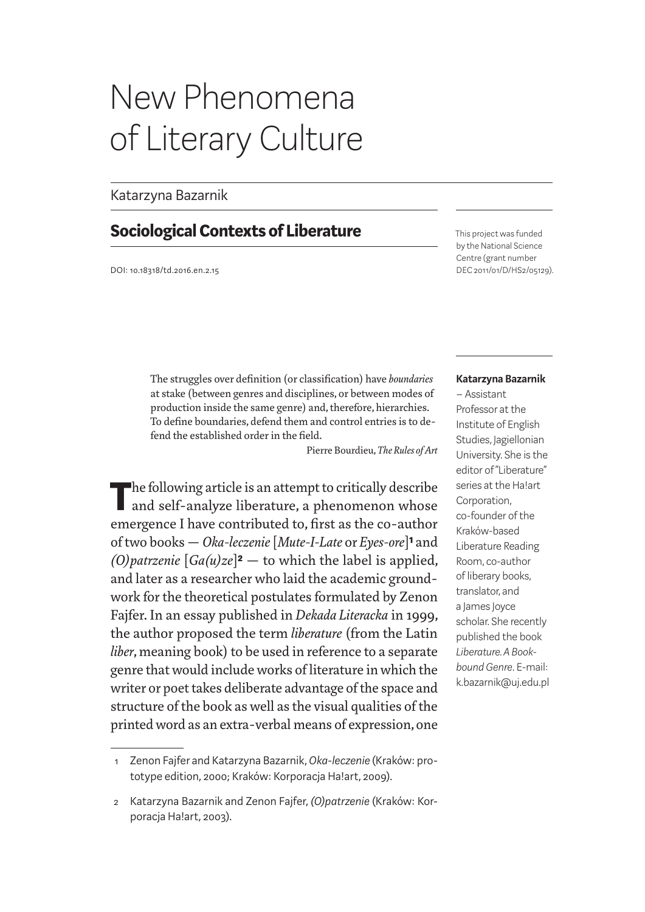# New Phenomena of Literary Culture

### Katarzyna Bazarnik

## **Sociological Contexts of Liberature**

DOI: 10.18318/td.2016.en.2.15

This project was funded by the National Science Centre (grant number DEC 2011/01/D/HS2/05129).

The struggles over definition (or classification) have *boundaries* at stake (between genres and disciplines, or between modes of production inside the same genre) and, therefore, hierarchies. To define boundaries, defend them and control entries is to defend the established order in the field.

Pierre Bourdieu, *The Rules of Art*

The following article is an attempt to critically describe and self-analyze liberature, a phenomenon whose emergence I have contributed to, first as the co-author of two books — *Oka-leczenie* [*Mute-I-Late* or *Eyes-ore*]**1** and *(O)patrzenie*  $[Ga(u)ze]^2$  — to which the label is applied, and later as a researcher who laid the academic groundwork for the theoretical postulates formulated by Zenon Fajfer. In an essay published in *Dekada Literacka* in 1999, the author proposed the term *liberature* (from the Latin *liber*, meaning book) to be used in reference to a separate genre that would include works of literature in which the writer or poet takes deliberate advantage of the space and structure of the book as well as the visual qualities of the printed word as an extra-verbal means of expression, one

### **Katarzyna Bazarnik**

– Assistant Professor at the Institute of English Studies, Jagiellonian University. She is the editor of "Liberature" series at the Ha!art Corporation, co-founder of the Kraków-based Liberature Reading Room, co-author of liberary books, translator, and a James Joyce scholar. She recently published the book *Liberature. A Bookbound Genre*. E-mail: k.bazarnik@uj.edu.pl

<sup>1</sup> Zenon Fajfer and Katarzyna Bazarnik, *Oka-leczenie* (Kraków: prototype edition, 2000; Kraków: Korporacja Ha!art, 2009).

<sup>2</sup> Katarzyna Bazarnik and Zenon Fajfer, *(O)patrzenie* (Kraków: Korporacja Ha!art, 2003).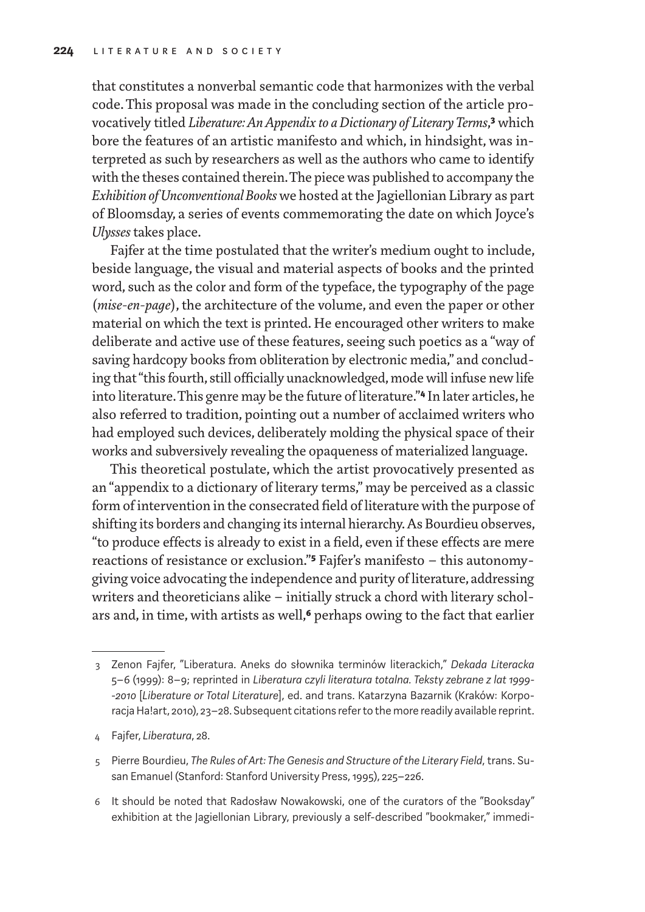that constitutes a nonverbal semantic code that harmonizes with the verbal code. This proposal was made in the concluding section of the article provocatively titled *Liberature: An Appendix to a Dictionary of Literary Terms*,**3** which bore the features of an artistic manifesto and which, in hindsight, was interpreted as such by researchers as well as the authors who came to identify with the theses contained therein. The piece was published to accompany the *Exhibition of Unconventional Books* we hosted at the Jagiellonian Library as part of Bloomsday, a series of events commemorating the date on which Joyce's *Ulysses* takes place.

Fajfer at the time postulated that the writer's medium ought to include, beside language, the visual and material aspects of books and the printed word, such as the color and form of the typeface, the typography of the page (*mise-en-page*), the architecture of the volume, and even the paper or other material on which the text is printed. He encouraged other writers to make deliberate and active use of these features, seeing such poetics as a "way of saving hardcopy books from obliteration by electronic media," and concluding that "this fourth, still officially unacknowledged, mode will infuse new life into literature. This genre may be the future of literature."**4** In later articles, he also referred to tradition, pointing out a number of acclaimed writers who had employed such devices, deliberately molding the physical space of their works and subversively revealing the opaqueness of materialized language.

This theoretical postulate, which the artist provocatively presented as an "appendix to a dictionary of literary terms," may be perceived as a classic form of intervention in the consecrated field of literature with the purpose of shifting its borders and changing its internal hierarchy. As Bourdieu observes, "to produce effects is already to exist in a field, even if these effects are mere reactions of resistance or exclusion."**5** Fajfer's manifesto – this autonomygiving voice advocating the independence and purity of literature, addressing writers and theoreticians alike – initially struck a chord with literary scholars and, in time, with artists as well,**6** perhaps owing to the fact that earlier

<sup>3</sup> Zenon Fajfer, "Liberatura. Aneks do słownika terminów literackich," *Dekada Literacka* 5–6 (1999): 8–9; reprinted in *Liberatura czyli literatura totalna. Teksty zebrane z lat 1999- -2010* [*Liberature or Total Literature*], ed. and trans. Katarzyna Bazarnik (Kraków: Korporacja Ha!art, 2010), 23–28. Subsequent citations refer to the more readily available reprint.

<sup>4</sup> Fajfer, *Liberatura*, 28.

<sup>5</sup> Pierre Bourdieu, *The Rules of Art: The Genesis and Structure of the Literary Field*, trans. Susan Emanuel (Stanford: Stanford University Press, 1995), 225–226.

<sup>6</sup> It should be noted that Radosław Nowakowski, one of the curators of the "Booksday" exhibition at the Jagiellonian Library, previously a self-described "bookmaker," immedi-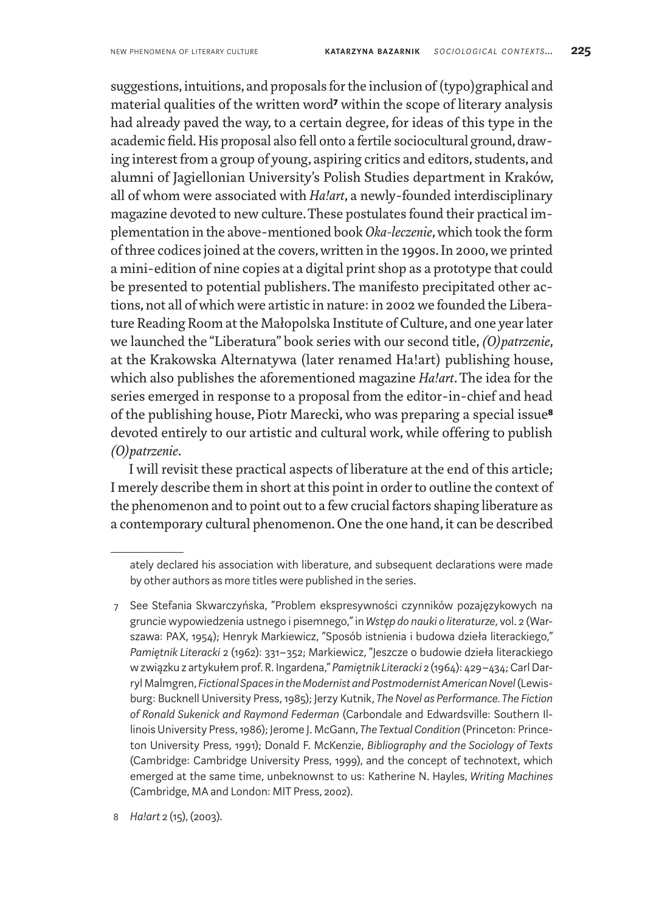suggestions, intuitions, and proposals for the inclusion of (typo)graphical and material qualities of the written word**7** within the scope of literary analysis had already paved the way, to a certain degree, for ideas of this type in the academic field. His proposal also fell onto a fertile sociocultural ground, drawing interest from a group of young, aspiring critics and editors, students, and alumni of Jagiellonian University's Polish Studies department in Kraków, all of whom were associated with *Ha!art*, a newly-founded interdisciplinary magazine devoted to new culture. These postulates found their practical implementation in the above-mentioned book *Oka-leczenie*, which took the form of three codices joined at the covers, written in the 1990s. In 2000, we printed a mini-edition of nine copies at a digital print shop as a prototype that could be presented to potential publishers. The manifesto precipitated other actions, not all of which were artistic in nature: in 2002 we founded the Liberature Reading Room at the Małopolska Institute of Culture, and one year later we launched the "Liberatura" book series with our second title, *(O)patrzenie*, at the Krakowska Alternatywa (later renamed Ha!art) publishing house, which also publishes the aforementioned magazine *Ha!art*. The idea for the series emerged in response to a proposal from the editor-in-chief and head of the publishing house, Piotr Marecki, who was preparing a special issue**8** devoted entirely to our artistic and cultural work, while offering to publish *(O)patrzenie*.

I will revisit these practical aspects of liberature at the end of this article; I merely describe them in short at this point in order to outline the context of the phenomenon and to point out to a few crucial factors shaping liberature as a contemporary cultural phenomenon. One the one hand, it can be described

8 *Ha!art* 2 (15), (2003).

ately declared his association with liberature, and subsequent declarations were made by other authors as more titles were published in the series.

<sup>7</sup> See Stefania Skwarczyńska, "Problem ekspresywności czynników pozajęzykowych na gruncie wypowiedzenia ustnego i pisemnego," in *Wstęp do nauki o literaturze*, vol. 2 (Warszawa: PAX, 1954); Henryk Markiewicz, "Sposób istnienia i budowa dzieła literackiego," *Pamiętnik Literacki* 2 (1962): 331–352; Markiewicz, "Jeszcze o budowie dzieła literackiego wzwiązku z artykułem prof. R. Ingardena," *Pamiętnik Literacki* 2 (1964): 429–434; Carl Darryl Malmgren, *Fictional Spaces in the Modernist and Postmodernist American Novel* (Lewisburg: Bucknell University Press, 1985); Jerzy Kutnik, *The Novel as Performance. The Fiction of Ronald Sukenick and Raymond Federman* (Carbondale and Edwardsville: Southern Illinois University Press, 1986); Jerome J. McGann, *The Textual Condition* (Princeton: Princeton University Press, 1991); Donald F. McKenzie, *Bibliography and the Sociology of Texts* (Cambridge: Cambridge University Press, 1999), and the concept of technotext, which emerged at the same time, unbeknownst to us: Katherine N. Hayles, *Writing Machines* (Cambridge, MA and London: MIT Press, 2002).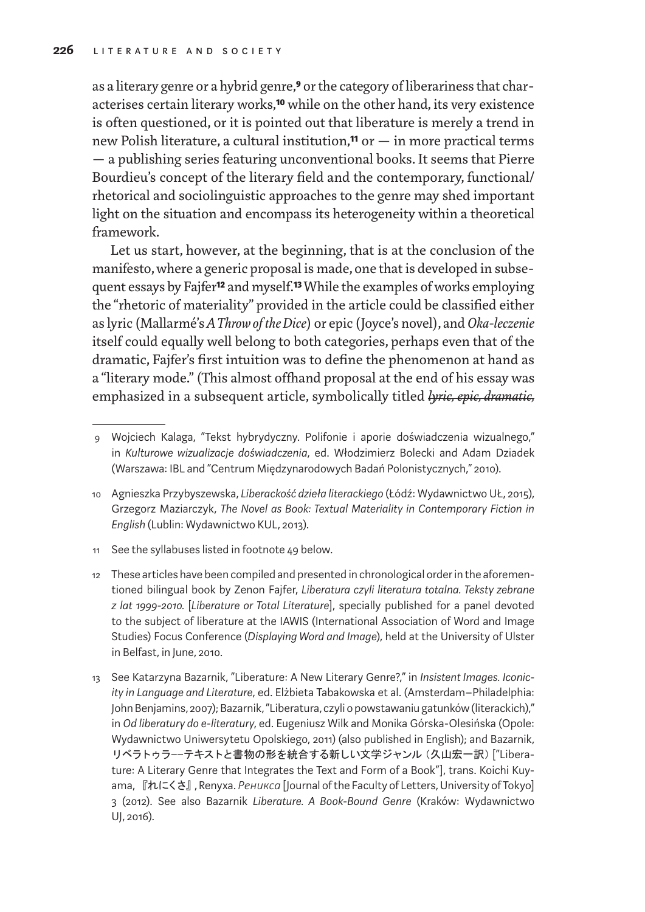as a literary genre or a hybrid genre,**9** or the category of liberariness that characterises certain literary works,**10** while on the other hand, its very existence is often questioned, or it is pointed out that liberature is merely a trend in new Polish literature, a cultural institution,**11** or — in more practical terms — a publishing series featuring unconventional books. It seems that Pierre Bourdieu's concept of the literary field and the contemporary, functional/ rhetorical and sociolinguistic approaches to the genre may shed important light on the situation and encompass its heterogeneity within a theoretical framework.

Let us start, however, at the beginning, that is at the conclusion of the manifesto, where a generic proposal is made, one that is developed in subsequent essays by Fajfer**12** and myself.**13** While the examples of works employing the "rhetoric of materiality" provided in the article could be classified either as lyric (Mallarmé's *AThrow of the Dice*) or epic (Joyce's novel), and *Oka-leczenie* itself could equally well belong to both categories, perhaps even that of the dramatic, Fajfer's first intuition was to define the phenomenon at hand as a "literary mode." (This almost offhand proposal at the end of his essay was emphasized in a subsequent article, symbolically titled *lyric, epic, dramatic,*

11 See the syllabuses listed in footnote 49 below.

<sup>9</sup> Wojciech Kalaga, "Tekst hybrydyczny. Polifonie i aporie doświadczenia wizualnego," in *Kulturowe wizualizacje doświadczenia*, ed. Włodzimierz Bolecki and Adam Dziadek (Warszawa: IBL and "Centrum Międzynarodowych Badań Polonistycznych," 2010).

<sup>10</sup> Agnieszka Przybyszewska, *Liberackość dzieła literackiego* (Łódź: Wydawnictwo UŁ, 2015), Grzegorz Maziarczyk, *The Novel as Book: Textual Materiality in Contemporary Fiction in English* (Lublin: Wydawnictwo KUL, 2013).

<sup>12</sup> These articles have been compiled and presented in chronological order in the aforementioned bilingual book by Zenon Fajfer, *Liberatura czyli literatura totalna. Teksty zebrane z lat 1999-2010.* [*Liberature or Total Literature*], specially published for a panel devoted to the subject of liberature at the IAWIS (International Association of Word and Image Studies) Focus Conference (*Displaying Word and Image*), held at the University of Ulster in Belfast, in June, 2010.

<sup>13</sup> See Katarzyna Bazarnik, "Liberature: A New Literary Genre?," in *Insistent Images. Iconicity in Language and Literature*, ed. Elżbieta Tabakowska et al. (Amsterdam–Philadelphia: John Benjamins, 2007); Bazarnik, "Liberatura, czyli o powstawaniu gatunków (literackich)," in *Od liberatury do e-literatury*, ed. Eugeniusz Wilk and Monika Górska-Olesińska (Opole: Wydawnictwo Uniwersytetu Opolskiego, 2011) (also published in English); and Bazarnik, リベラトゥラーーテキストと書物の形を統合する新しい文学ジャンル(久山宏一訳)["Liberature: A Literary Genre that Integrates the Text and Form of a Book"], trans. Koichi Kuyama, 『れにくさ』, Renyxa. *Рениксa* [Journal of the Faculty of Letters, University of Tokyo] 3 (2012). See also Bazarnik *Liberature. A Book-Bound Genre* (Kraków: Wydawnictwo UJ, 2016).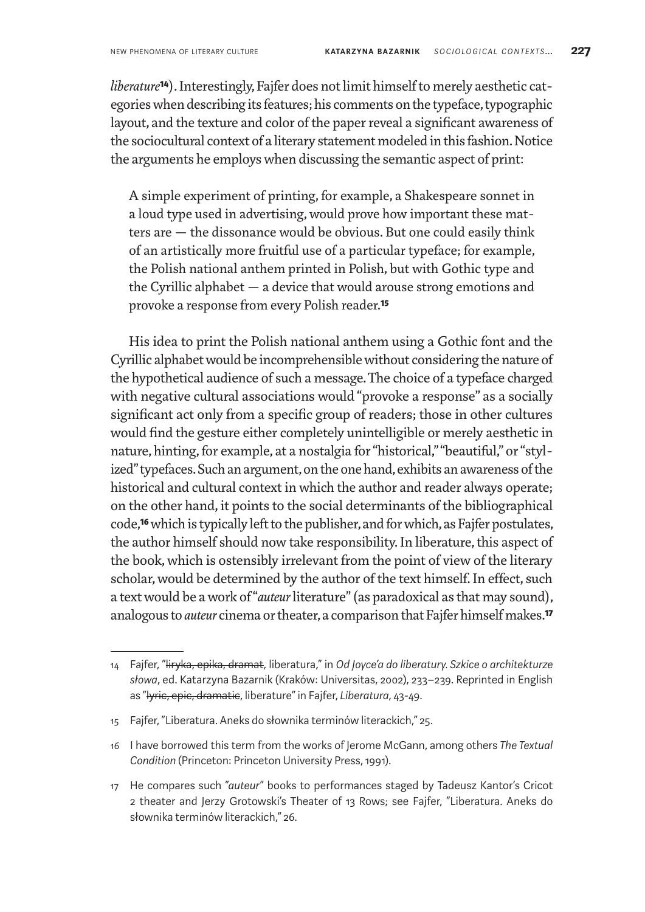*liberature*<sup>14</sup>). Interestingly, Fajfer does not limit himself to merely aesthetic categories when describing its features; his comments on the typeface, typographic layout, and the texture and color of the paper reveal a significant awareness of the sociocultural context of a literary statement modeled in this fashion. Notice the arguments he employs when discussing the semantic aspect of print:

A simple experiment of printing, for example, a Shakespeare sonnet in a loud type used in advertising, would prove how important these matters are — the dissonance would be obvious. But one could easily think of an artistically more fruitful use of a particular typeface; for example, the Polish national anthem printed in Polish, but with Gothic type and the Cyrillic alphabet — a device that would arouse strong emotions and provoke a response from every Polish reader.**15**

His idea to print the Polish national anthem using a Gothic font and the Cyrillic alphabet would be incomprehensible without considering the nature of the hypothetical audience of such a message. The choice of a typeface charged with negative cultural associations would "provoke a response" as a socially significant act only from a specific group of readers; those in other cultures would find the gesture either completely unintelligible or merely aesthetic in nature, hinting, for example, at a nostalgia for "historical," "beautiful," or "stylized" typefaces. Such an argument, on the one hand, exhibits an awareness of the historical and cultural context in which the author and reader always operate; on the other hand, it points to the social determinants of the bibliographical code,**16** which is typically left to the publisher, and for which, as Fajfer postulates, the author himself should now take responsibility. In liberature, this aspect of the book, which is ostensibly irrelevant from the point of view of the literary scholar, would be determined by the author of the text himself. In effect, such a text would be awork of "*auteur* literature" (as paradoxical as that may sound), analogous to *auteur* cinema or theater, a comparison that Fajfer himself makes.**17**

<sup>14</sup> Fajfer, "liryka, epika, dramat, liberatura," in *Od Joyce'a do liberatury. Szkice o architekturze słowa*, ed. Katarzyna Bazarnik (Kraków: Universitas, 2002), 233–239. Reprinted in English as "lyric, epic, dramatic, liberature" in Fajfer, *Liberatura*, 43-49.

<sup>15</sup> Fajfer, "Liberatura. Aneks do słownika terminów literackich," 25.

<sup>16</sup> I have borrowed this term from the works of Jerome McGann, among others *The Textual Condition* (Princeton: Princeton University Press, 1991).

<sup>17</sup> He compares such "*auteur*" books to performances staged by Tadeusz Kantor's Cricot 2 theater and Jerzy Grotowski's Theater of 13 Rows; see Fajfer, "Liberatura. Aneks do słownika terminów literackich," 26.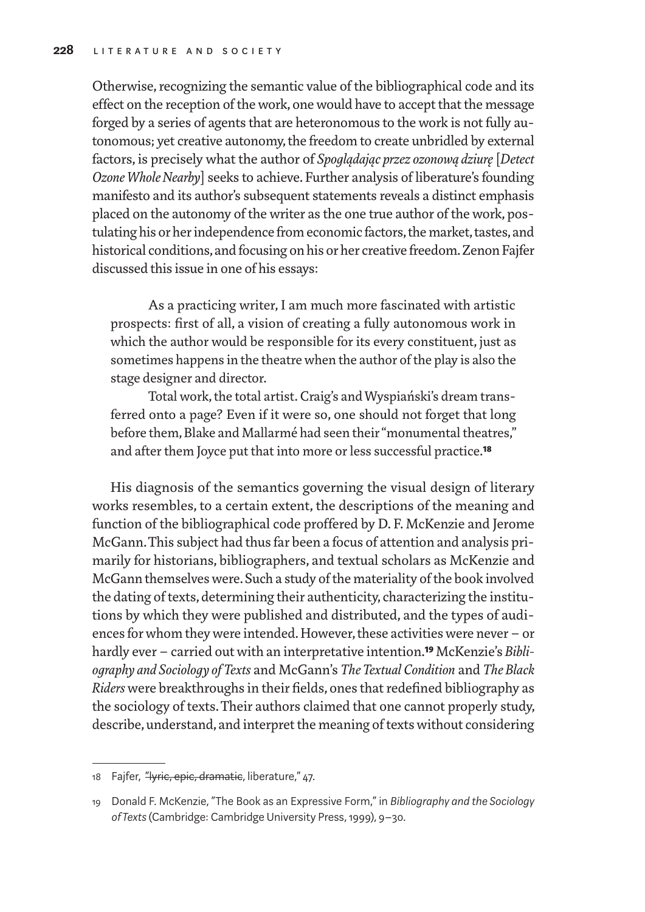Otherwise, recognizing the semantic value of the bibliographical code and its effect on the reception of the work, one would have to accept that the message forged by a series of agents that are heteronomous to the work is not fully autonomous; yet creative autonomy, the freedom to create unbridled by external factors, is precisely what the author of *Spoglądając przez ozonową dziurę* [*Detect Ozone Whole Nearby*] seeks to achieve. Further analysis of liberature's founding manifesto and its author's subsequent statements reveals a distinct emphasis placed on the autonomy of the writer as the one true author of the work, postulating his or her independence from economic factors, the market, tastes, and historical conditions, and focusing on his or her creative freedom. Zenon Fajfer discussed this issue in one of his essays:

As a practicing writer, I am much more fascinated with artistic prospects: first of all, a vision of creating a fully autonomous work in which the author would be responsible for its every constituent, just as sometimes happens in the theatre when the author of the play is also the stage designer and director.

Total work, the total artist. Craig's and Wyspiański's dream transferred onto a page? Even if it were so, one should not forget that long before them, Blake and Mallarmé had seen their "monumental theatres," and after them Joyce put that into more or less successful practice.**18**

His diagnosis of the semantics governing the visual design of literary works resembles, to a certain extent, the descriptions of the meaning and function of the bibliographical code proffered by D. F. McKenzie and Jerome McGann. This subject had thus far been a focus of attention and analysis primarily for historians, bibliographers, and textual scholars as McKenzie and McGann themselves were. Such a study of the materiality of the book involved the dating of texts, determining their authenticity, characterizing the institutions by which they were published and distributed, and the types of audiences for whom they were intended. However, these activities were never – or hardly ever – carried out with an interpretative intention.**19** McKenzie's *Bibliography and Sociology of Texts* and McGann's *The Textual Condition* and *The Black Riders* were breakthroughs in their fields, ones that redefined bibliography as the sociology of texts. Their authors claimed that one cannot properly study, describe, understand, and interpret the meaning of texts without considering

<sup>18</sup> Fajfer, "Hyric, epic, dramatic, liberature," 47.

<sup>19</sup> Donald F. McKenzie, "The Book as an Expressive Form," in *Bibliography and the Sociology of Texts* (Cambridge: Cambridge University Press, 1999), 9–30.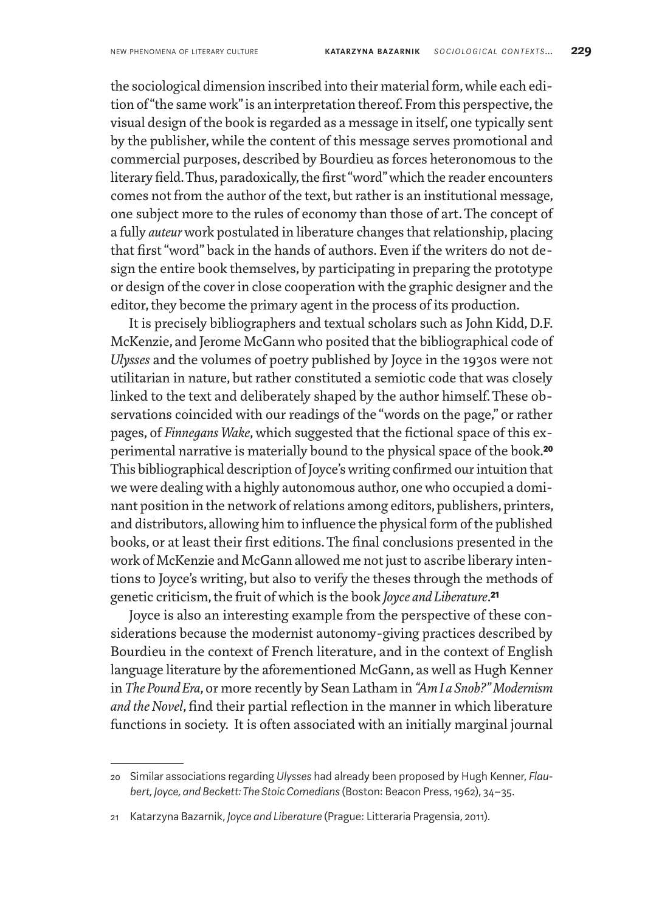the sociological dimension inscribed into their material form, while each edition of "the same work" is an interpretation thereof. From this perspective, the visual design of the book is regarded as a message in itself, one typically sent by the publisher, while the content of this message serves promotional and commercial purposes, described by Bourdieu as forces heteronomous to the literary field. Thus, paradoxically, the first "word" which the reader encounters comes not from the author of the text, but rather is an institutional message, one subject more to the rules of economy than those of art. The concept of a fully *auteur* work postulated in liberature changes that relationship, placing that first "word" back in the hands of authors. Even if the writers do not design the entire book themselves, by participating in preparing the prototype or design of the cover in close cooperation with the graphic designer and the editor, they become the primary agent in the process of its production.

It is precisely bibliographers and textual scholars such as John Kidd, D.F. McKenzie, and Jerome McGann who posited that the bibliographical code of *Ulysses* and the volumes of poetry published by Joyce in the 1930s were not utilitarian in nature, but rather constituted a semiotic code that was closely linked to the text and deliberately shaped by the author himself. These observations coincided with our readings of the "words on the page," or rather pages, of *Finnegans Wake*, which suggested that the fictional space of this experimental narrative is materially bound to the physical space of the book.**20** This bibliographical description of Joyce's writing confirmed our intuition that we were dealing with a highly autonomous author, one who occupied a dominant position in the network of relations among editors, publishers, printers, and distributors, allowing him to influence the physical form of the published books, or at least their first editions. The final conclusions presented in the work of McKenzie and McGann allowed me not just to ascribe liberary intentions to Joyce's writing, but also to verify the theses through the methods of genetic criticism, the fruit of which is the book *Joyce and Liberature*.**21**

Joyce is also an interesting example from the perspective of these considerations because the modernist autonomy-giving practices described by Bourdieu in the context of French literature, and in the context of English language literature by the aforementioned McGann, as well as Hugh Kenner in *The Pound Era*, or more recently by Sean Latham in *"Am I a Snob?" Modernism and the Novel*, find their partial reflection in the manner in which liberature functions in society. It is often associated with an initially marginal journal

<sup>20</sup> Similar associations regarding *Ulysses* had already been proposed by Hugh Kenner, *Flaubert, Joyce, and Beckett: The Stoic Comedians* (Boston: Beacon Press, 1962), 34–35.

<sup>21</sup> Katarzyna Bazarnik, *Joyce and Liberature* (Prague: Litteraria Pragensia, 2011).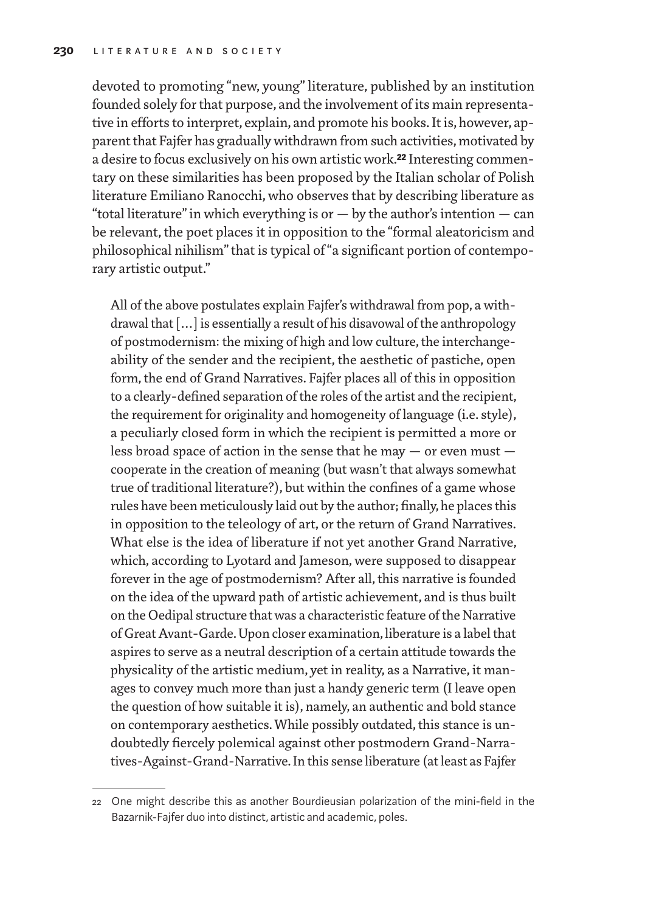devoted to promoting "new, young" literature, published by an institution founded solely for that purpose, and the involvement of its main representative in efforts to interpret, explain, and promote his books. It is, however, apparent that Fajfer has gradually withdrawn from such activities, motivated by a desire to focus exclusively on his own artistic work.**22** Interesting commentary on these similarities has been proposed by the Italian scholar of Polish literature Emiliano Ranocchi, who observes that by describing liberature as "total literature" in which everything is or  $-$  by the author's intention  $-$  can be relevant, the poet places it in opposition to the "formal aleatoricism and philosophical nihilism" that is typical of "a significant portion of contemporary artistic output."

All of the above postulates explain Fajfer's withdrawal from pop, a withdrawal that […] is essentially a result of his disavowal of the anthropology of postmodernism: the mixing of high and low culture, the interchangeability of the sender and the recipient, the aesthetic of pastiche, open form, the end of Grand Narratives. Fajfer places all of this in opposition to a clearly-defined separation of the roles of the artist and the recipient, the requirement for originality and homogeneity of language (i.e. style), a peculiarly closed form in which the recipient is permitted a more or less broad space of action in the sense that he may — or even must cooperate in the creation of meaning (but wasn't that always somewhat true of traditional literature?), but within the confines of a game whose rules have been meticulously laid out by the author; finally, he places this in opposition to the teleology of art, or the return of Grand Narratives. What else is the idea of liberature if not yet another Grand Narrative, which, according to Lyotard and Jameson, were supposed to disappear forever in the age of postmodernism? After all, this narrative is founded on the idea of the upward path of artistic achievement, and is thus built on the Oedipal structure that was a characteristic feature of the Narrative of Great Avant-Garde. Upon closer examination, liberature is a label that aspires to serve as a neutral description of a certain attitude towards the physicality of the artistic medium, yet in reality, as a Narrative, it manages to convey much more than just a handy generic term (I leave open the question of how suitable it is), namely, an authentic and bold stance on contemporary aesthetics. While possibly outdated, this stance is undoubtedly fiercely polemical against other postmodern Grand-Narratives-Against-Grand-Narrative. In this sense liberature (at least as Fajfer

<sup>22</sup> One might describe this as another Bourdieusian polarization of the mini-field in the Bazarnik-Fajfer duo into distinct, artistic and academic, poles.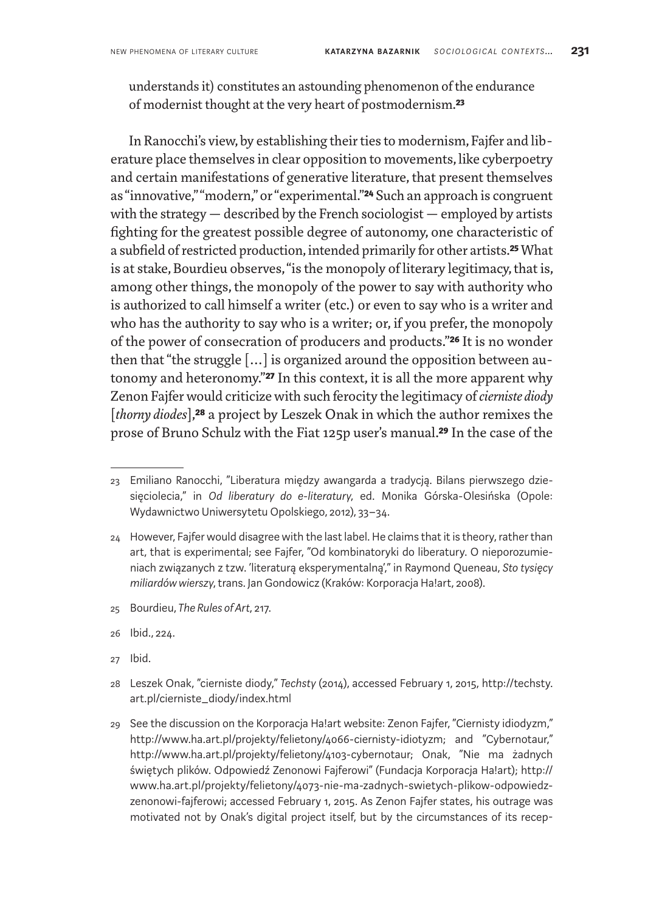understands it) constitutes an astounding phenomenon of the endurance of modernist thought at the very heart of postmodernism.**23**

In Ranocchi's view, by establishing their ties to modernism, Fajfer and liberature place themselves in clear opposition to movements, like cyberpoetry and certain manifestations of generative literature, that present themselves as "innovative," "modern," or "experimental."**24** Such an approach is congruent with the strategy — described by the French sociologist — employed by artists fighting for the greatest possible degree of autonomy, one characteristic of a subfield of restricted production, intended primarily for other artists.**25** What is at stake, Bourdieu observes, "is the monopoly of literary legitimacy, that is, among other things, the monopoly of the power to say with authority who is authorized to call himself a writer (etc.) or even to say who is a writer and who has the authority to say who is a writer; or, if you prefer, the monopoly of the power of consecration of producers and products."**26** It is no wonder then that "the struggle […] is organized around the opposition between autonomy and heteronomy."**27** In this context, it is all the more apparent why Zenon Fajfer would criticize with such ferocity the legitimacy of *cierniste diody* [*thorny diodes*],**28** a project by Leszek Onak in which the author remixes the prose of Bruno Schulz with the Fiat 125p user's manual.**29** In the case of the

- 25 Bourdieu, *The Rules of Art*, 217.
- 26 Ibid., 224.
- 27 Ibid.
- 28 Leszek Onak, "cierniste diody," *Techsty* (2014), accessed February 1, 2015, http://techsty. art.pl/cierniste\_diody/index.html
- 29 See the discussion on the Korporacja Ha!art website: Zenon Fajfer, "Ciernisty idiodyzm," http://www.ha.art.pl/projekty/felietony/4066-ciernisty-idiotyzm; and "Cybernotaur," http://www.ha.art.pl/projekty/felietony/4103-cybernotaur; Onak, "Nie ma żadnych świętych plików. Odpowiedź Zenonowi Fajferowi" (Fundacja Korporacja Ha!art); http:// www.ha.art.pl/projekty/felietony/4073-nie-ma-zadnych-swietych-plikow-odpowiedzzenonowi-fajferowi; accessed February 1, 2015. As Zenon Fajfer states, his outrage was motivated not by Onak's digital project itself, but by the circumstances of its recep-

<sup>23</sup> Emiliano Ranocchi, "Liberatura między awangarda a tradycją. Bilans pierwszego dziesięciolecia," in *Od liberatury do e-literatury*, ed. Monika Górska-Olesińska (Opole: Wydawnictwo Uniwersytetu Opolskiego, 2012), 33–34.

<sup>24</sup> However, Fajfer would disagree with the last label. He claims that it is theory, rather than art, that is experimental; see Fajfer, "Od kombinatoryki do liberatury. O nieporozumieniach związanych z tzw. 'literaturą eksperymentalną'," in Raymond Queneau, *Sto tysięcy miliardów wierszy*, trans. Jan Gondowicz (Kraków: Korporacja Ha!art, 2008).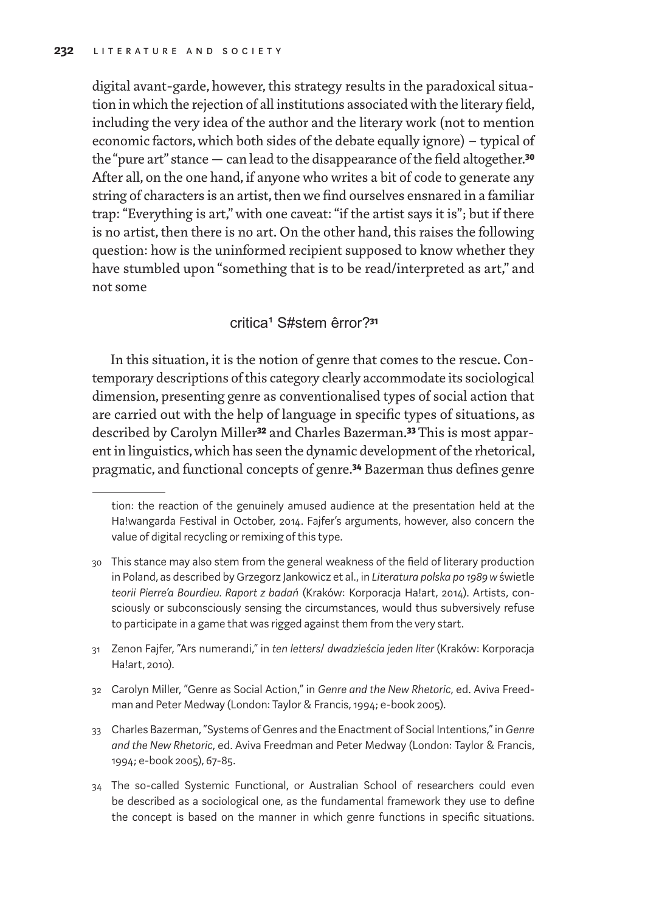digital avant-garde, however, this strategy results in the paradoxical situation in which the rejection of all institutions associated with the literary field, including the very idea of the author and the literary work (not to mention economic factors, which both sides of the debate equally ignore) – typical of the "pure art" stance — can lead to the disappearance of the field altogether.**30** After all, on the one hand, if anyone who writes a bit of code to generate any string of characters is an artist, then we find ourselves ensnared in a familiar trap: "Everything is art," with one caveat: "if the artist says it is"; but if there is no artist, then there is no art. On the other hand, this raises the following question: how is the uninformed recipient supposed to know whether they have stumbled upon "something that is to be read/interpreted as art," and not some

## critica¹ S#stem êrror?**31**

In this situation, it is the notion of genre that comes to the rescue. Contemporary descriptions of this category clearly accommodate its sociological dimension, presenting genre as conventionalised types of social action that are carried out with the help of language in specific types of situations, as described by Carolyn Miller**32** and Charles Bazerman.**33** This is most apparent in linguistics, which has seen the dynamic development of the rhetorical, pragmatic, and functional concepts of genre.**34** Bazerman thus defines genre

- 31 Zenon Fajfer, "Ars numerandi," in *ten letters*/ *dwadzieścia jeden liter* (Kraków: Korporacja Ha!art, 2010).
- 32 Carolyn Miller, "Genre as Social Action," in *Genre and the New Rhetoric*, ed. Aviva Freedman and Peter Medway (London: Taylor & Francis, 1994; e-book 2005).
- 33 Charles Bazerman, "Systems of Genres and the Enactment of Social Intentions," in *Genre and the New Rhetoric*, ed. Aviva Freedman and Peter Medway (London: Taylor & Francis, 1994; e-book 2005), 67-85.
- 34 The so-called Systemic Functional, or Australian School of researchers could even be described as a sociological one, as the fundamental framework they use to define the concept is based on the manner in which genre functions in specific situations.

tion: the reaction of the genuinely amused audience at the presentation held at the Ha!wangarda Festival in October, 2014. Fajfer's arguments, however, also concern the value of digital recycling or remixing of this type.

<sup>30</sup> This stance may also stem from the general weakness of the field of literary production in Poland, as described by Grzegorz Jankowicz et al., in *Literatura polska po 1989 w* świetle *teorii Pierre'a Bourdieu. Raport z badań* (Kraków: Korporacja Ha!art, 2014). Artists, consciously or subconsciously sensing the circumstances, would thus subversively refuse to participate in a game that was rigged against them from the very start.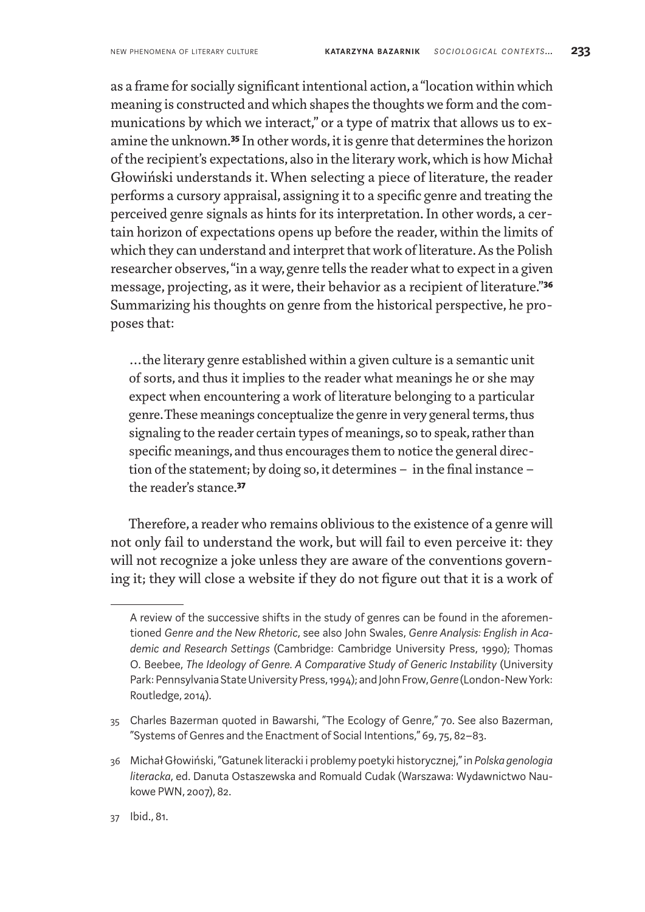as a frame for socially significant intentional action, a"location within which meaning is constructed and which shapes the thoughts we form and the communications by which we interact," or a type of matrix that allows us to examine the unknown.**35** In other words, it is genre that determines the horizon of the recipient's expectations, also in the literary work, which is how Michał Głowiński understands it. When selecting a piece of literature, the reader performs a cursory appraisal, assigning it to a specific genre and treating the perceived genre signals as hints for its interpretation. In other words, a certain horizon of expectations opens up before the reader, within the limits of which they can understand and interpret that work of literature. As the Polish researcher observes, "in away, genre tells the reader what to expect in a given message, projecting, as it were, their behavior as a recipient of literature."**36** Summarizing his thoughts on genre from the historical perspective, he proposes that:

…the literary genre established within a given culture is a semantic unit of sorts, and thus it implies to the reader what meanings he or she may expect when encountering a work of literature belonging to a particular genre. These meanings conceptualize the genre in very general terms, thus signaling to the reader certain types of meanings, so to speak, rather than specific meanings, and thus encourages them to notice the general direction of the statement; by doing so, it determines– in the final instance – the reader's stance.**37**

Therefore, a reader who remains oblivious to the existence of a genre will not only fail to understand the work, but will fail to even perceive it: they will not recognize a joke unless they are aware of the conventions governing it; they will close a website if they do not figure out that it is a work of

A review of the successive shifts in the study of genres can be found in the aforementioned *Genre and the New Rhetoric*, see also John Swales, *Genre Analysis: English in Academic and Research Settings* (Cambridge: Cambridge University Press, 1990); Thomas O. Beebee, *The Ideology of Genre. A Comparative Study of Generic Instability* (University Park: Pennsylvania State University Press, 1994); and John Frow, *Genre* (London-New York: Routledge, 2014).

<sup>35</sup> Charles Bazerman quoted in Bawarshi, "The Ecology of Genre," 70. See also Bazerman, "Systems of Genres and the Enactment of Social Intentions," 69, 75, 82–83.

<sup>36</sup> Michał Głowiński, "Gatunek literacki i problemy poetyki historycznej," in *Polska genologia literacka*, ed. Danuta Ostaszewska and Romuald Cudak (Warszawa: Wydawnictwo Naukowe PWN, 2007), 82.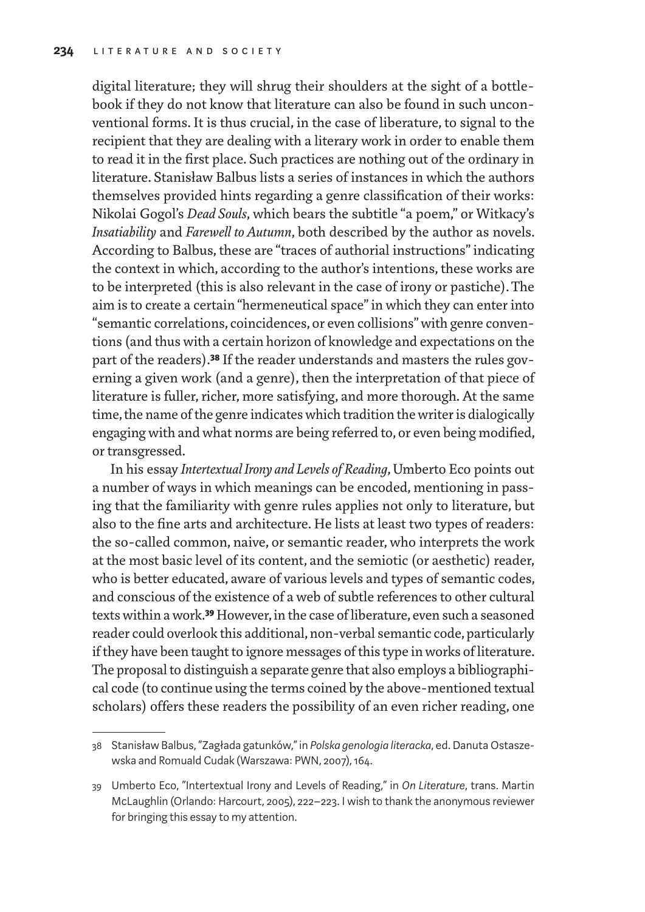digital literature; they will shrug their shoulders at the sight of a bottlebook if they do not know that literature can also be found in such unconventional forms. It is thus crucial, in the case of liberature, to signal to the recipient that they are dealing with a literary work in order to enable them to read it in the first place. Such practices are nothing out of the ordinary in literature. Stanisław Balbus lists a series of instances in which the authors themselves provided hints regarding a genre classification of their works: Nikolai Gogol's *Dead Souls*, which bears the subtitle "a poem," or Witkacy's *Insatiability* and *Farewell to Autumn*, both described by the author as novels. According to Balbus, these are "traces of authorial instructions" indicating the context in which, according to the author's intentions, these works are to be interpreted (this is also relevant in the case of irony or pastiche). The aim is to create a certain "hermeneutical space" in which they can enter into "semantic correlations, coincidences, or even collisions" with genre conventions (and thus with a certain horizon of knowledge and expectations on the part of the readers).**38** If the reader understands and masters the rules governing a given work (and a genre), then the interpretation of that piece of literature is fuller, richer, more satisfying, and more thorough. At the same time, the name of the genre indicates which tradition the writer is dialogically engaging with and what norms are being referred to, or even being modified, or transgressed.

In his essay *Intertextual Irony and Levels of Reading*, Umberto Eco points out a number of ways in which meanings can be encoded, mentioning in passing that the familiarity with genre rules applies not only to literature, but also to the fine arts and architecture. He lists at least two types of readers: the so-called common, naive, or semantic reader, who interprets the work at the most basic level of its content, and the semiotic (or aesthetic) reader, who is better educated, aware of various levels and types of semantic codes, and conscious of the existence of a web of subtle references to other cultural texts within awork.**39** However, in the case of liberature, even such a seasoned reader could overlook this additional, non-verbal semantic code, particularly if they have been taught to ignore messages of this type in works of literature. The proposal to distinguish a separate genre that also employs a bibliographical code (to continue using the terms coined by the above-mentioned textual scholars) offers these readers the possibility of an even richer reading, one

<sup>38</sup> Stanisław Balbus, "Zagłada gatunków," in *Polska genologia literacka*, ed. Danuta Ostaszewska and Romuald Cudak (Warszawa: PWN, 2007), 164.

<sup>39</sup> Umberto Eco, "Intertextual Irony and Levels of Reading," in *On Literature*, trans. Martin McLaughlin (Orlando: Harcourt, 2005), 222–223. I wish to thank the anonymous reviewer for bringing this essay to my attention.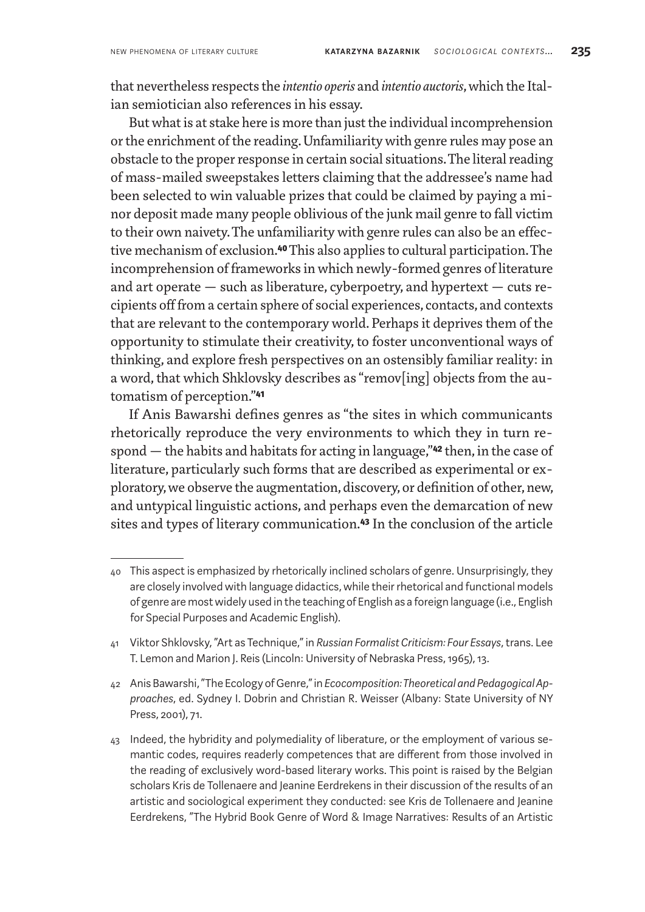that nevertheless respects the *intentio operis* and *intentio auctoris*, which the Italian semiotician also references in his essay.

But what is at stake here is more than just the individual incomprehension or the enrichment of the reading. Unfamiliarity with genre rules may pose an obstacle to the proper response in certain social situations. The literal reading of mass-mailed sweepstakes letters claiming that the addressee's name had been selected to win valuable prizes that could be claimed by paying a minor deposit made many people oblivious of the junk mail genre to fall victim to their own naivety. The unfamiliarity with genre rules can also be an effective mechanism of exclusion.**40** This also applies to cultural participation. The incomprehension of frameworks in which newly-formed genres of literature and art operate  $-$  such as liberature, cyberpoetry, and hypertext  $-$  cuts recipients off from a certain sphere of social experiences, contacts, and contexts that are relevant to the contemporary world. Perhaps it deprives them of the opportunity to stimulate their creativity, to foster unconventional ways of thinking, and explore fresh perspectives on an ostensibly familiar reality: in a word, that which Shklovsky describes as "remov[ing] objects from the automatism of perception."**41**

If Anis Bawarshi defines genres as "the sites in which communicants rhetorically reproduce the very environments to which they in turn respond — the habits and habitats for acting in language,"**42** then, in the case of literature, particularly such forms that are described as experimental or exploratory, we observe the augmentation, discovery, or definition of other, new, and untypical linguistic actions, and perhaps even the demarcation of new sites and types of literary communication.**43** In the conclusion of the article

<sup>40</sup> This aspect is emphasized by rhetorically inclined scholars of genre. Unsurprisingly, they are closely involved with language didactics, while their rhetorical and functional models of genre are most widely used in the teaching of English as a foreign language (i.e., English for Special Purposes and Academic English).

<sup>41</sup> Viktor Shklovsky, "Art as Technique," in *Russian Formalist Criticism: Four Essays*, trans. Lee T. Lemon and Marion J. Reis (Lincoln: University of Nebraska Press, 1965), 13.

<sup>42</sup> Anis Bawarshi, "The Ecology of Genre," in *Ecocomposition: Theoretical and Pedagogical Approaches*, ed. Sydney I. Dobrin and Christian R. Weisser (Albany: State University of NY Press, 2001), 71.

<sup>43</sup> Indeed, the hybridity and polymediality of liberature, or the employment of various semantic codes, requires readerly competences that are different from those involved in the reading of exclusively word-based literary works. This point is raised by the Belgian scholars Kris de Tollenaere and Jeanine Eerdrekens in their discussion of the results of an artistic and sociological experiment they conducted: see Kris de Tollenaere and Jeanine Eerdrekens, "The Hybrid Book Genre of Word & Image Narratives: Results of an Artistic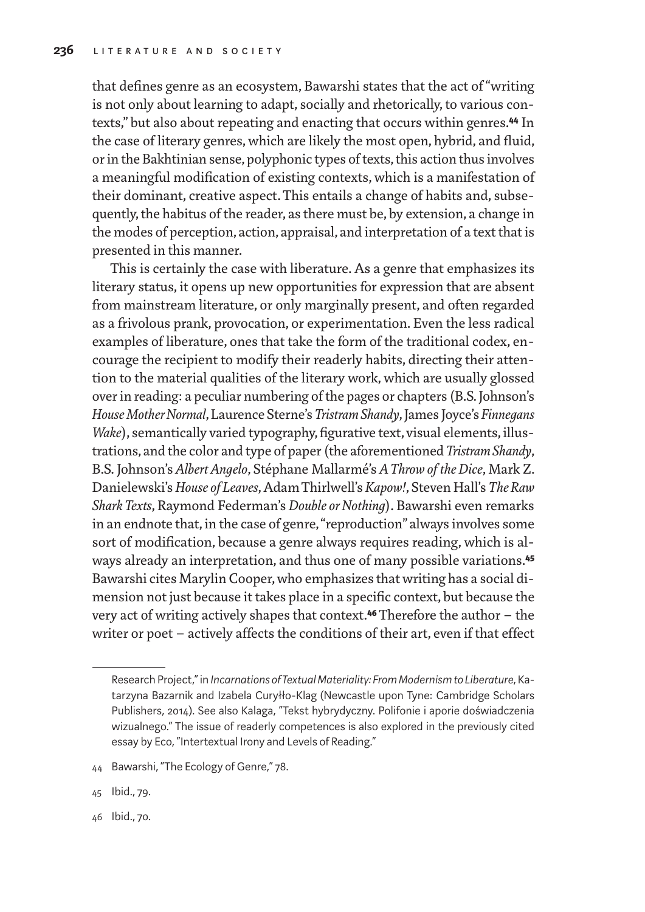that defines genre as an ecosystem, Bawarshi states that the act of "writing is not only about learning to adapt, socially and rhetorically, to various contexts," but also about repeating and enacting that occurs within genres.**44** In the case of literary genres, which are likely the most open, hybrid, and fluid, or in the Bakhtinian sense, polyphonic types of texts, this action thus involves a meaningful modification of existing contexts, which is a manifestation of their dominant, creative aspect. This entails a change of habits and, subsequently, the habitus of the reader, as there must be, by extension, a change in the modes of perception, action, appraisal, and interpretation of a text that is presented in this manner.

This is certainly the case with liberature. As a genre that emphasizes its literary status, it opens up new opportunities for expression that are absent from mainstream literature, or only marginally present, and often regarded as a frivolous prank, provocation, or experimentation. Even the less radical examples of liberature, ones that take the form of the traditional codex, encourage the recipient to modify their readerly habits, directing their attention to the material qualities of the literary work, which are usually glossed over in reading: a peculiar numbering of the pages or chapters (B.S. Johnson's *House Mother Normal*, Laurence Sterne's *Tristram Shandy*, James Joyce's *Finnegans Wake*), semantically varied typography, figurative text, visual elements, illustrations, and the color and type of paper (the aforementioned *Tristram Shandy*, B.S. Johnson's *Albert Angelo*, Stéphane Mallarmé's *A Throw of the Dice*, Mark Z. Danielewski's *House of Leaves*, Adam Thirlwell's *Kapow!*, Steven Hall's *The Raw Shark Texts*, Raymond Federman's *Double or Nothing*). Bawarshi even remarks in an endnote that, in the case of genre, "reproduction" always involves some sort of modification, because a genre always requires reading, which is always already an interpretation, and thus one of many possible variations.**45** Bawarshi cites Marylin Cooper, who emphasizes that writing has a social dimension not just because it takes place in a specific context, but because the very act of writing actively shapes that context.**46** Therefore the author – the writer or poet – actively affects the conditions of their art, even if that effect

Research Project," in *Incarnations of Textual Materiality: From Modernism to Liberature*, Katarzyna Bazarnik and Izabela Curyłło-Klag (Newcastle upon Tyne: Cambridge Scholars Publishers, 2014). See also Kalaga, "Tekst hybrydyczny. Polifonie i aporie doświadczenia wizualnego." The issue of readerly competences is also explored in the previously cited essay by Eco, "Intertextual Irony and Levels of Reading."

<sup>44</sup> Bawarshi, "The Ecology of Genre," 78.

<sup>45</sup> Ibid., 79.

<sup>46</sup> Ibid., 70.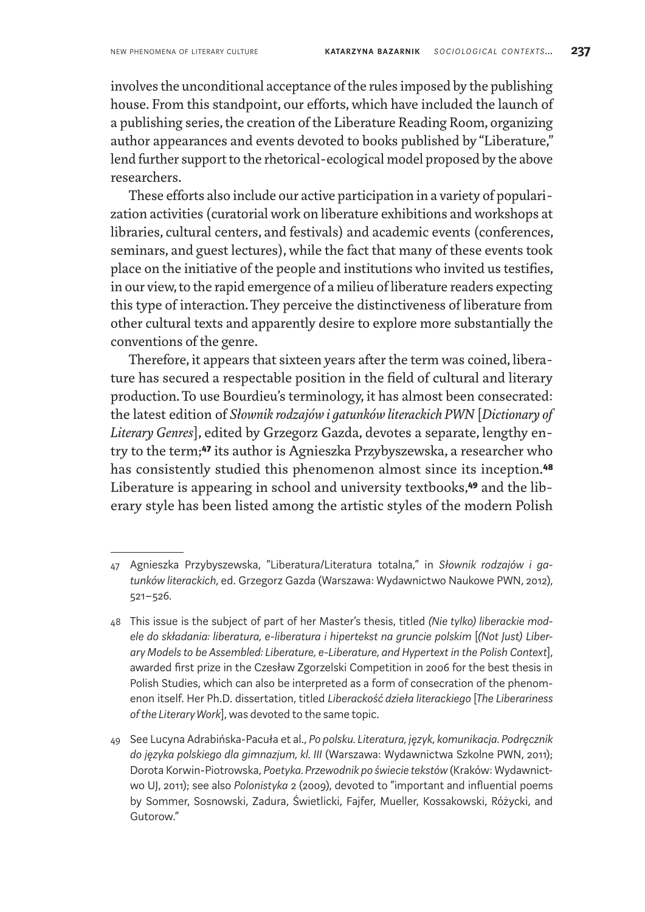involves the unconditional acceptance of the rules imposed by the publishing house. From this standpoint, our efforts, which have included the launch of a publishing series, the creation of the Liberature Reading Room, organizing author appearances and events devoted to books published by "Liberature," lend further support to the rhetorical-ecological model proposed by the above researchers.

These efforts also include our active participation in a variety of popularization activities (curatorial work on liberature exhibitions and workshops at libraries, cultural centers, and festivals) and academic events (conferences, seminars, and guest lectures), while the fact that many of these events took place on the initiative of the people and institutions who invited us testifies, in our view, to the rapid emergence of a milieu of liberature readers expecting this type of interaction. They perceive the distinctiveness of liberature from other cultural texts and apparently desire to explore more substantially the conventions of the genre.

Therefore, it appears that sixteen years after the term was coined, liberature has secured a respectable position in the field of cultural and literary production. To use Bourdieu's terminology, it has almost been consecrated: the latest edition of *Słownik rodzajów i gatunków literackich PWN* [*Dictionary of Literary Genres*], edited by Grzegorz Gazda, devotes a separate, lengthy entry to the term;**47** its author is Agnieszka Przybyszewska, a researcher who has consistently studied this phenomenon almost since its inception.**48** Liberature is appearing in school and university textbooks,**49** and the liberary style has been listed among the artistic styles of the modern Polish

<sup>47</sup> Agnieszka Przybyszewska, "Liberatura/Literatura totalna," in *Słownik rodzajów i gatunków literackich*, ed. Grzegorz Gazda (Warszawa: Wydawnictwo Naukowe PWN, 2012), 521–526.

<sup>48</sup> This issue is the subject of part of her Master's thesis, titled *(Nie tylko) liberackie modele do składania: liberatura, e-liberatura i hipertekst na gruncie polskim* [*(Not Just) Liberary Models to be Assembled: Liberature, e-Liberature, and Hypertext in the Polish Context*], awarded first prize in the Czesław Zgorzelski Competition in 2006 for the best thesis in Polish Studies, which can also be interpreted as a form of consecration of the phenomenon itself. Her Ph.D. dissertation, titled *Liberackość dzieła literackiego* [*The Liberariness of the Literary Work*], was devoted to the same topic.

<sup>49</sup> See Lucyna Adrabińska-Pacuła et al., *Po polsku. Literatura, język, komunikacja. Podręcznik do języka polskiego dla gimnazjum, kl. III* (Warszawa: Wydawnictwa Szkolne PWN, 2011); Dorota Korwin-Piotrowska, *Poetyka. Przewodnik po świecie tekstów* (Kraków: Wydawnictwo UJ, 2011); see also *Polonistyka* 2 (2009), devoted to "important and influential poems by Sommer, Sosnowski, Zadura, Świetlicki, Fajfer, Mueller, Kossakowski, Różycki, and Gutorow."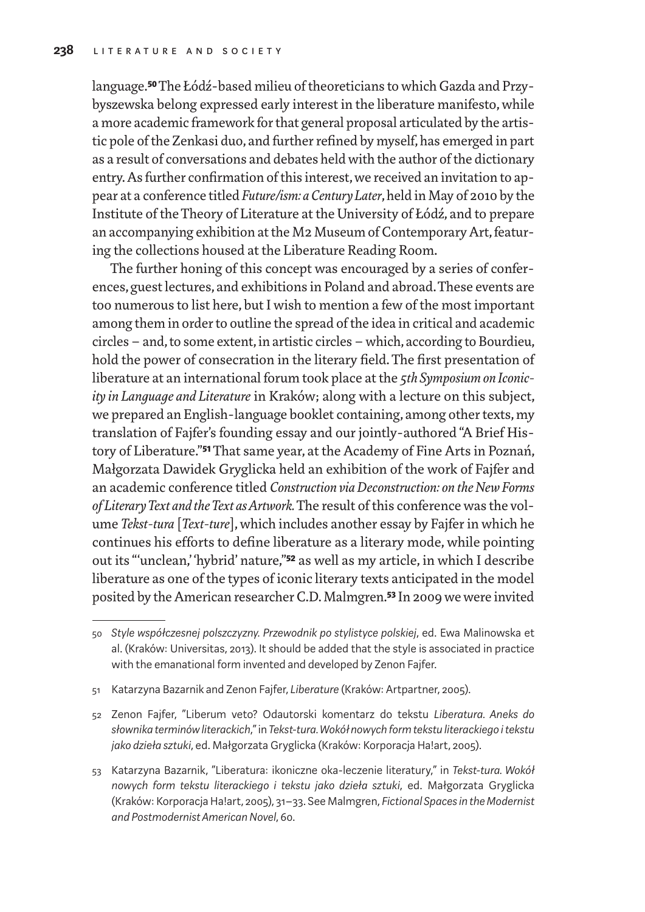language.**50** The Łódź-based milieu of theoreticians towhich Gazda and Przybyszewska belong expressed early interest in the liberature manifesto, while a more academic framework for that general proposal articulated by the artistic pole of the Zenkasi duo, and further refined by myself, has emerged in part as a result of conversations and debates held with the author of the dictionary entry. As further confirmation of this interest, we received an invitation to appear at a conference titled *Future/ism: a Century Later*, held in May of 2010 by the Institute of the Theory of Literature at the University of Łódź, and to prepare an accompanying exhibition at the M2 Museum of Contemporary Art, featuring the collections housed at the Liberature Reading Room.

The further honing of this concept was encouraged by a series of conferences, guest lectures, and exhibitions in Poland and abroad. These events are too numerous to list here, but I wish to mention a few of the most important among them in order to outline the spread of the idea in critical and academic circles – and, to some extent, in artistic circles – which, according to Bourdieu, hold the power of consecration in the literary field. The first presentation of liberature at an international forum took place at the *5th Symposium on Iconicity in Language and Literature* in Kraków; along with a lecture on this subject, we prepared an English-language booklet containing, among other texts, my translation of Fajfer's founding essay and our jointly-authored "A Brief History of Liberature."**51** That same year, at the Academy of Fine Arts in Poznań, Małgorzata Dawidek Gryglicka held an exhibition of the work of Fajfer and an academic conference titled *Construction via Deconstruction: on the New Forms of Literary Text and the Text as Artwork.* The result of this conference was the volume *Tekst-tura* [*Text-ture*], which includes another essay by Fajfer in which he continues his efforts to define liberature as a literary mode, while pointing out its "'unclean,' 'hybrid' nature,"**52** as well as my article, in which I describe liberature as one of the types of iconic literary texts anticipated in the model posited by the American researcher C.D. Malmgren.**53** In 2009 we were invited

<sup>50</sup> *Style współczesnej polszczyzny. Przewodnik po stylistyce polskiej*, ed. Ewa Malinowska et al. (Kraków: Universitas, 2013). It should be added that the style is associated in practice with the emanational form invented and developed by Zenon Fajfer.

<sup>51</sup> Katarzyna Bazarnik and Zenon Fajfer, *Liberature* (Kraków: Artpartner, 2005).

<sup>52</sup> Zenon Fajfer, "Liberum veto? Odautorski komentarz do tekstu *Liberatura. Aneks do słownika terminów literackich*," in *Tekst-tura. Wokół nowych form tekstu literackiego itekstu jako dzieła sztuki*, ed. Małgorzata Gryglicka (Kraków: Korporacja Ha!art, 2005).

<sup>53</sup> Katarzyna Bazarnik, "Liberatura: ikoniczne oka-leczenie literatury," in *Tekst-tura. Wokół nowych form tekstu literackiego i tekstu jako dzieła sztuki*, ed. Małgorzata Gryglicka (Kraków: Korporacja Ha!art, 2005), 31–33. See Malmgren, *Fictional Spaces in the Modernist and Postmodernist American Novel*, 60.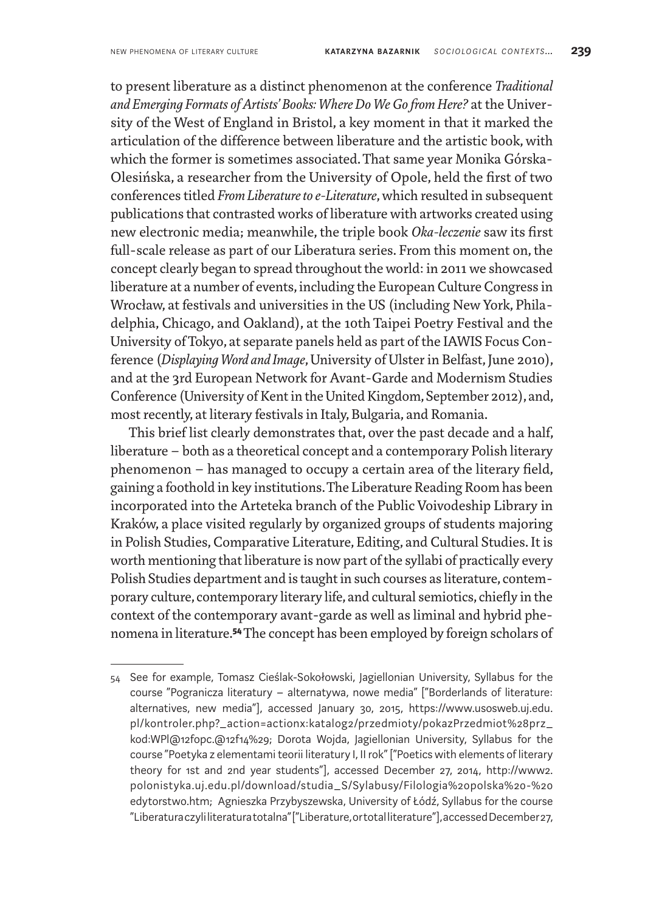to present liberature as a distinct phenomenon at the conference *Traditional and Emerging Formats of Artists' Books: Where Do We Go from Here?* at the University of the West of England in Bristol, a key moment in that it marked the articulation of the difference between liberature and the artistic book, with which the former is sometimes associated. That same year Monika Górska-Olesińska, a researcher from the University of Opole, held the first of two conferences titled *From Liberature to e-Literature*, which resulted in subsequent publications that contrasted works of liberature with artworks created using new electronic media; meanwhile, the triple book *Oka-leczenie* saw its first full-scale release as part of our Liberatura series. From this moment on, the concept clearly began to spread throughout the world: in 2011 we showcased liberature at a number of events, including the European Culture Congress in Wrocław, at festivals and universities in the US (including New York, Philadelphia, Chicago, and Oakland), at the 10th Taipei Poetry Festival and the University of Tokyo, at separate panels held as part of the IAWIS Focus Conference (*Displaying Word and Image*, University of Ulster in Belfast, June 2010), and at the 3rd European Network for Avant-Garde and Modernism Studies Conference (University of Kent in the United Kingdom, September 2012), and, most recently, at literary festivals in Italy, Bulgaria, and Romania.

This brief list clearly demonstrates that, over the past decade and a half, liberature – both as a theoretical concept and a contemporary Polish literary phenomenon – has managed to occupy a certain area of the literary field, gaining a foothold in key institutions. The Liberature Reading Room has been incorporated into the Arteteka branch of the Public Voivodeship Library in Kraków, a place visited regularly by organized groups of students majoring in Polish Studies, Comparative Literature, Editing, and Cultural Studies. It is worth mentioning that liberature is now part of the syllabi of practically every Polish Studies department and is taught in such courses as literature, contemporary culture, contemporary literary life, and cultural semiotics, chiefly in the context of the contemporary avant-garde as well as liminal and hybrid phenomena in literature.**54** The concept has been employed by foreign scholars of

<sup>54</sup> See for example, Tomasz Cieślak-Sokołowski, Jagiellonian University, Syllabus for the course "Pogranicza literatury – alternatywa, nowe media" ["Borderlands of literature: alternatives, new media"], accessed January 30, 2015, https://www.usosweb.uj.edu. pl/kontroler.php?\_action=actionx:katalog2/przedmioty/pokazPrzedmiot%28prz\_ kod:WPl@12fopc.@12f14%29; Dorota Wojda, Jagiellonian University, Syllabus for the course "Poetyka z elementami teorii literatury I, II rok" ["Poetics with elements of literary theory for 1st and 2nd year students"], accessed December 27, 2014, http://www2. polonistyka.uj.edu.pl/download/studia\_S/Sylabusy/Filologia%20polska%20-%20 edytorstwo.htm; Agnieszka Przybyszewska, University of Łódź, Syllabus for the course "Liberatura czyli literatura totalna" ["Liberature, or total literature"], accessed December 27,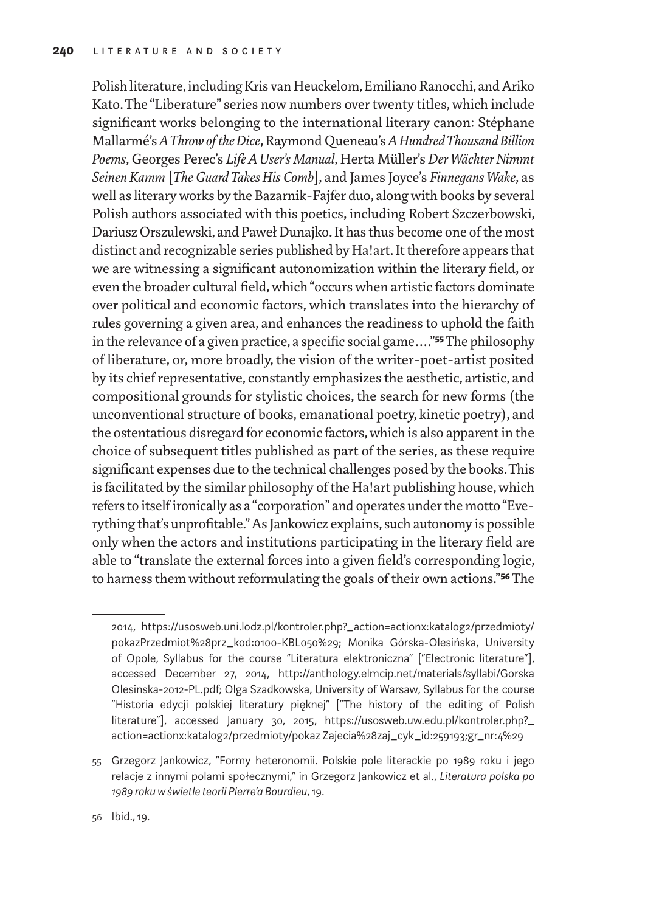Polish literature, including Kris van Heuckelom, Emiliano Ranocchi, and Ariko Kato. The "Liberature" series now numbers over twenty titles, which include significant works belonging to the international literary canon: Stéphane Mallarmé's *AThrow of the Dice*, Raymond Queneau's *AHundred Thousand Billion Poems*, Georges Perec's *Life A User's Manual*, Herta Müller's *Der Wächter Nimmt Seinen Kamm* [*The Guard Takes His Comb*], and James Joyce's *Finnegans Wake*, as well as literary works by the Bazarnik-Fajfer duo, along with books by several Polish authors associated with this poetics, including Robert Szczerbowski, Dariusz Orszulewski, and Paweł Dunajko. It has thus become one of the most distinct and recognizable series published by Ha!art. It therefore appears that we are witnessing a significant autonomization within the literary field, or even the broader cultural field, which "occurs when artistic factors dominate over political and economic factors, which translates into the hierarchy of rules governing a given area, and enhances the readiness to uphold the faith in the relevance of a given practice, a specific social game…."**55** The philosophy of liberature, or, more broadly, the vision of the writer-poet-artist posited by its chief representative, constantly emphasizes the aesthetic, artistic, and compositional grounds for stylistic choices, the search for new forms (the unconventional structure of books, emanational poetry, kinetic poetry), and the ostentatious disregard for economic factors, which is also apparent in the choice of subsequent titles published as part of the series, as these require significant expenses due to the technical challenges posed by the books. This is facilitated by the similar philosophy of the Ha!art publishing house, which refers to itself ironically as a "corporation" and operates under the motto "Everything that's unprofitable." As Jankowicz explains, such autonomy is possible only when the actors and institutions participating in the literary field are able to "translate the external forces into a given field's corresponding logic, to harness them without reformulating the goals of their own actions."**56** The

<sup>2014,</sup> https://usosweb.uni.lodz.pl/kontroler.php?\_action=actionx:katalog2/przedmioty/ pokazPrzedmiot%28prz\_kod:0100-KBL050%29; Monika Górska-Olesińska, University of Opole, Syllabus for the course "Literatura elektroniczna" ["Electronic literature"], accessed December 27, 2014, http://anthology.elmcip.net/materials/syllabi/Gorska Olesinska-2012-PL.pdf; Olga Szadkowska, University of Warsaw, Syllabus for the course "Historia edycji polskiej literatury pięknej" ["The history of the editing of Polish literature"], accessed January 30, 2015, https://usosweb.uw.edu.pl/kontroler.php?\_ action=actionx:katalog2/przedmioty/pokaz Zajecia%28zaj\_cyk\_id:259193;gr\_nr:4%29

<sup>55</sup> Grzegorz Jankowicz, "Formy heteronomii. Polskie pole literackie po 1989 roku i jego relacje z innymi polami społecznymi," in Grzegorz Jankowicz et al., *Literatura polska po 1989 roku w świetle teorii Pierre'a Bourdieu*, 19.